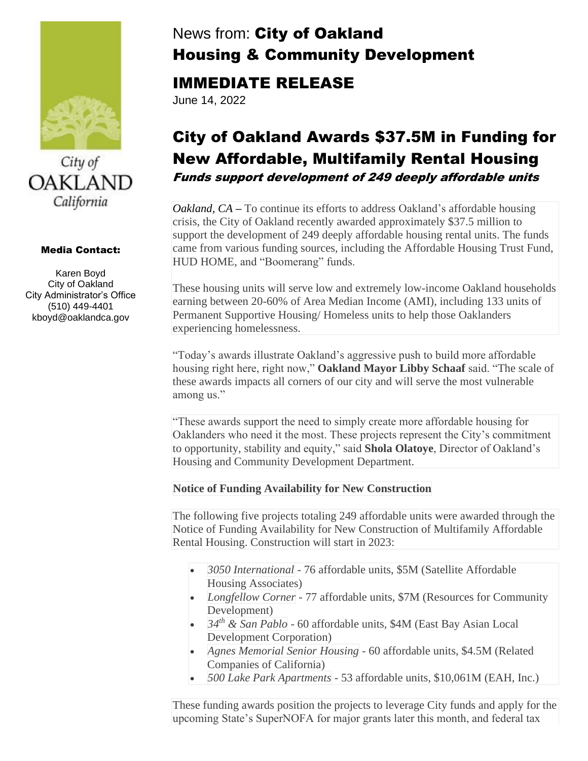



#### Media Contact:

Karen Boyd City of Oakland City Administrator's Office (510) 449-4401 kboyd@oaklandca.gov

# News from: City of Oakland Housing & Community Development

## IMMEDIATE RELEASE

June 14, 2022

## City of Oakland Awards \$37.5M in Funding for New Affordable, Multifamily Rental Housing Funds support development of 249 deeply affordable units

*Oakland, CA* – To continue its efforts to address Oakland's affordable housing crisis, the City of Oakland recently awarded approximately \$37.5 million to support the development of 249 deeply affordable housing rental units. The funds came from various funding sources, including the Affordable Housing Trust Fund, HUD HOME, and "Boomerang" funds.

These housing units will serve low and extremely low-income Oakland households earning between 20-60% of Area Median Income (AMI), including 133 units of Permanent Supportive Housing/ Homeless units to help those Oaklanders experiencing homelessness.

"Today's awards illustrate Oakland's aggressive push to build more affordable housing right here, right now," **Oakland Mayor Libby Schaaf** said. "The scale of these awards impacts all corners of our city and will serve the most vulnerable among us."

"These awards support the need to simply create more affordable housing for Oaklanders who need it the most. These projects represent the City's commitment to opportunity, stability and equity," said **Shola Olatoye**, Director of Oakland's Housing and Community Development Department.

### **Notice of Funding Availability for New Construction**

The following five projects totaling 249 affordable units were awarded through the Notice of Funding Availability for New Construction of Multifamily Affordable Rental Housing. Construction will start in 2023:

- *3050 International* 76 affordable units, \$5M (Satellite Affordable Housing Associates)
- *Longfellow Corner* 77 affordable units, \$7M (Resources for Community Development)
- *34th & San Pablo* 60 affordable units, \$4M (East Bay Asian Local Development Corporation)
- *Agnes Memorial Senior Housing* 60 affordable units, \$4.5M (Related Companies of California)
- *500 Lake Park Apartments* 53 affordable units, \$10,061M (EAH, Inc.)

These funding awards position the projects to leverage City funds and apply for the upcoming State's SuperNOFA for major grants later this month, and federal tax